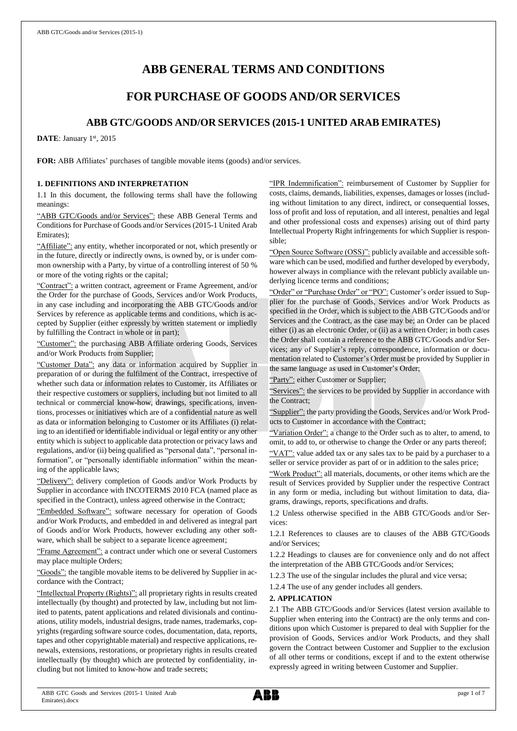# **ABB GENERAL TERMS AND CONDITIONS**

## **FOR PURCHASE OF GOODS AND/OR SERVICES**

## **ABB GTC/GOODS AND/OR SERVICES (2015-1 UNITED ARAB EMIRATES)**

DATE: January 1st, 2015

**FOR:** ABB Affiliates' purchases of tangible movable items (goods) and/or services.

## **1. DEFINITIONS AND INTERPRETATION**

1.1 In this document, the following terms shall have the following meanings:

"ABB GTC/Goods and/or Services": these ABB General Terms and Conditions for Purchase of Goods and/or Services (2015-1 United Arab Emirates);

"Affiliate": any entity, whether incorporated or not, which presently or in the future, directly or indirectly owns, is owned by, or is under common ownership with a Party, by virtue of a controlling interest of 50 % or more of the voting rights or the capital;

"Contract": a written contract, agreement or Frame Agreement, and/or the Order for the purchase of Goods, Services and/or Work Products, in any case including and incorporating the ABB GTC/Goods and/or Services by reference as applicable terms and conditions, which is accepted by Supplier (either expressly by written statement or impliedly by fulfilling the Contract in whole or in part);

"Customer": the purchasing ABB Affiliate ordering Goods, Services and/or Work Products from Supplier;

"Customer Data": any data or information acquired by Supplier in preparation of or during the fulfilment of the Contract, irrespective of whether such data or information relates to Customer, its Affiliates or their respective customers or suppliers, including but not limited to all technical or commercial know-how, drawings, specifications, inventions, processes or initiatives which are of a confidential nature as well as data or information belonging to Customer or its Affiliates (i) relating to an identified or identifiable individual or legal entity or any other entity which is subject to applicable data protection or privacy laws and regulations, and/or (ii) being qualified as "personal data", "personal information", or "personally identifiable information" within the meaning of the applicable laws;

"Delivery": delivery completion of Goods and/or Work Products by Supplier in accordance with INCOTERMS 2010 FCA (named place as specified in the Contract), unless agreed otherwise in the Contract;

"Embedded Software": software necessary for operation of Goods and/or Work Products, and embedded in and delivered as integral part of Goods and/or Work Products, however excluding any other software, which shall be subject to a separate licence agreement;

"Frame Agreement": a contract under which one or several Customers may place multiple Orders;

"Goods": the tangible movable items to be delivered by Supplier in accordance with the Contract;

"Intellectual Property (Rights)": all proprietary rights in results created intellectually (by thought) and protected by law, including but not limited to patents, patent applications and related divisionals and continuations, utility models, industrial designs, trade names, trademarks, copyrights (regarding software source codes, documentation, data, reports, tapes and other copyrightable material) and respective applications, renewals, extensions, restorations, or proprietary rights in results created intellectually (by thought) which are protected by confidentiality, including but not limited to know-how and trade secrets;

"IPR Indemnification": reimbursement of Customer by Supplier for costs, claims, demands, liabilities, expenses, damages or losses (including without limitation to any direct, indirect, or consequential losses, loss of profit and loss of reputation, and all interest, penalties and legal and other professional costs and expenses) arising out of third party Intellectual Property Right infringements for which Supplier is responsible;

"Open Source Software (OSS)": publicly available and accessible software which can be used, modified and further developed by everybody, however always in compliance with the relevant publicly available underlying licence terms and conditions;

"Order" or "Purchase Order" or "PO": Customer's order issued to Supplier for the purchase of Goods, Services and/or Work Products as specified in the Order, which is subject to the ABB GTC/Goods and/or Services and the Contract, as the case may be; an Order can be placed either (i) as an electronic Order, or (ii) as a written Order; in both cases the Order shall contain a reference to the ABB GTC/Goods and/or Services; any of Supplier's reply, correspondence, information or documentation related to Customer's Order must be provided by Supplier in the same language as used in Customer's Order;

"Party": either Customer or Supplier;

"Services": the services to be provided by Supplier in accordance with the Contract;

"Supplier": the party providing the Goods, Services and/or Work Products to Customer in accordance with the Contract;

"Variation Order": a change to the Order such as to alter, to amend, to omit, to add to, or otherwise to change the Order or any parts thereof;

"VAT": value added tax or any sales tax to be paid by a purchaser to a seller or service provider as part of or in addition to the sales price;

"Work Product": all materials, documents, or other items which are the result of Services provided by Supplier under the respective Contract in any form or media, including but without limitation to data, diagrams, drawings, reports, specifications and drafts.

1.2 Unless otherwise specified in the ABB GTC/Goods and/or Services:

1.2.1 References to clauses are to clauses of the ABB GTC/Goods and/or Services;

1.2.2 Headings to clauses are for convenience only and do not affect the interpretation of the ABB GTC/Goods and/or Services;

1.2.3 The use of the singular includes the plural and vice versa;

1.2.4 The use of any gender includes all genders.

#### **2. APPLICATION**

2.1 The ABB GTC/Goods and/or Services (latest version available to Supplier when entering into the Contract) are the only terms and conditions upon which Customer is prepared to deal with Supplier for the provision of Goods, Services and/or Work Products, and they shall govern the Contract between Customer and Supplier to the exclusion of all other terms or conditions, except if and to the extent otherwise expressly agreed in writing between Customer and Supplier.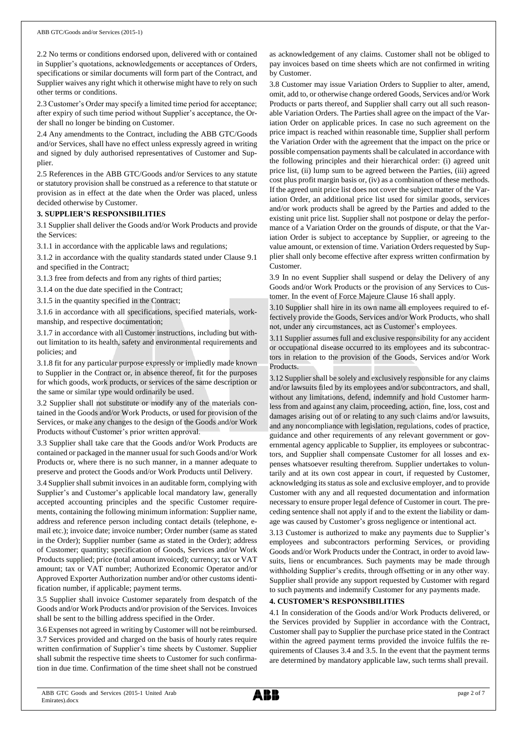2.2 No terms or conditions endorsed upon, delivered with or contained in Supplier's quotations, acknowledgements or acceptances of Orders, specifications or similar documents will form part of the Contract, and Supplier waives any right which it otherwise might have to rely on such other terms or conditions.

2.3 Customer's Order may specify a limited time period for acceptance; after expiry of such time period without Supplier's acceptance, the Order shall no longer be binding on Customer.

2.4 Any amendments to the Contract, including the ABB GTC/Goods and/or Services, shall have no effect unless expressly agreed in writing and signed by duly authorised representatives of Customer and Supplier.

2.5 References in the ABB GTC/Goods and/or Services to any statute or statutory provision shall be construed as a reference to that statute or provision as in effect at the date when the Order was placed, unless decided otherwise by Customer.

#### **3. SUPPLIER'S RESPONSIBILITIES**

3.1 Supplier shall deliver the Goods and/or Work Products and provide the Services:

3.1.1 in accordance with the applicable laws and regulations;

3.1.2 in accordance with the quality standards stated under Clause 9.1 and specified in the Contract;

3.1.3 free from defects and from any rights of third parties;

3.1.4 on the due date specified in the Contract;

3.1.5 in the quantity specified in the Contract;

3.1.6 in accordance with all specifications, specified materials, workmanship, and respective documentation;

3.1.7 in accordance with all Customer instructions, including but without limitation to its health, safety and environmental requirements and policies; and

3.1.8 fit for any particular purpose expressly or impliedly made known to Supplier in the Contract or, in absence thereof, fit for the purposes for which goods, work products, or services of the same description or the same or similar type would ordinarily be used.

3.2 Supplier shall not substitute or modify any of the materials contained in the Goods and/or Work Products, or used for provision of the Services, or make any changes to the design of the Goods and/or Work Products without Customer's prior written approval.

3.3 Supplier shall take care that the Goods and/or Work Products are contained or packaged in the manner usual for such Goods and/or Work Products or, where there is no such manner, in a manner adequate to preserve and protect the Goods and/or Work Products until Delivery.

3.4 Supplier shall submit invoices in an auditable form, complying with Supplier's and Customer's applicable local mandatory law, generally accepted accounting principles and the specific Customer requirements, containing the following minimum information: Supplier name, address and reference person including contact details (telephone, email etc.); invoice date; invoice number; Order number (same as stated in the Order); Supplier number (same as stated in the Order); address of Customer; quantity; specification of Goods, Services and/or Work Products supplied; price (total amount invoiced); currency; tax or VAT amount; tax or VAT number; Authorized Economic Operator and/or Approved Exporter Authorization number and/or other customs identification number, if applicable; payment terms.

3.5 Supplier shall invoice Customer separately from despatch of the Goods and/or Work Products and/or provision of the Services. Invoices shall be sent to the billing address specified in the Order.

3.6 Expenses not agreed in writing by Customer will not be reimbursed. 3.7 Services provided and charged on the basis of hourly rates require written confirmation of Supplier's time sheets by Customer. Supplier shall submit the respective time sheets to Customer for such confirmation in due time. Confirmation of the time sheet shall not be construed as acknowledgement of any claims. Customer shall not be obliged to pay invoices based on time sheets which are not confirmed in writing by Customer.

3.8 Customer may issue Variation Orders to Supplier to alter, amend, omit, add to, or otherwise change ordered Goods, Services and/or Work Products or parts thereof, and Supplier shall carry out all such reasonable Variation Orders. The Parties shall agree on the impact of the Variation Order on applicable prices. In case no such agreement on the price impact is reached within reasonable time, Supplier shall perform the Variation Order with the agreement that the impact on the price or possible compensation payments shall be calculated in accordance with the following principles and their hierarchical order: (i) agreed unit price list, (ii) lump sum to be agreed between the Parties, (iii) agreed cost plus profit margin basis or, (iv) as a combination of these methods. If the agreed unit price list does not cover the subject matter of the Variation Order, an additional price list used for similar goods, services and/or work products shall be agreed by the Parties and added to the existing unit price list. Supplier shall not postpone or delay the performance of a Variation Order on the grounds of dispute, or that the Variation Order is subject to acceptance by Supplier, or agreeing to the value amount, or extension of time. Variation Orders requested by Supplier shall only become effective after express written confirmation by Customer.

3.9 In no event Supplier shall suspend or delay the Delivery of any Goods and/or Work Products or the provision of any Services to Customer. In the event of Force Majeure Clause 16 shall apply.

3.10 Supplier shall hire in its own name all employees required to effectively provide the Goods, Services and/or Work Products, who shall not, under any circumstances, act as Customer's employees.

3.11 Supplier assumes full and exclusive responsibility for any accident or occupational disease occurred to its employees and its subcontractors in relation to the provision of the Goods, Services and/or Work Products.

3.12 Supplier shall be solely and exclusively responsible for any claims and/or lawsuits filed by its employees and/or subcontractors, and shall, without any limitations, defend, indemnify and hold Customer harmless from and against any claim, proceeding, action, fine, loss, cost and damages arising out of or relating to any such claims and/or lawsuits, and any noncompliance with legislation, regulations, codes of practice, guidance and other requirements of any relevant government or governmental agency applicable to Supplier, its employees or subcontractors, and Supplier shall compensate Customer for all losses and expenses whatsoever resulting therefrom. Supplier undertakes to voluntarily and at its own cost appear in court, if requested by Customer, acknowledging its status as sole and exclusive employer, and to provide Customer with any and all requested documentation and information necessary to ensure proper legal defence of Customer in court. The preceding sentence shall not apply if and to the extent the liability or damage was caused by Customer's gross negligence or intentional act.

3.13 Customer is authorized to make any payments due to Supplier's employees and subcontractors performing Services, or providing Goods and/or Work Products under the Contract, in order to avoid lawsuits, liens or encumbrances. Such payments may be made through withholding Supplier's credits, through offsetting or in any other way. Supplier shall provide any support requested by Customer with regard to such payments and indemnify Customer for any payments made.

## **4. CUSTOMER'S RESPONSIBILITIES**

4.1 In consideration of the Goods and/or Work Products delivered, or the Services provided by Supplier in accordance with the Contract, Customer shall pay to Supplier the purchase price stated in the Contract within the agreed payment terms provided the invoice fulfils the requirements of Clauses 3.4 and 3.5. In the event that the payment terms are determined by mandatory applicable law, such terms shall prevail.

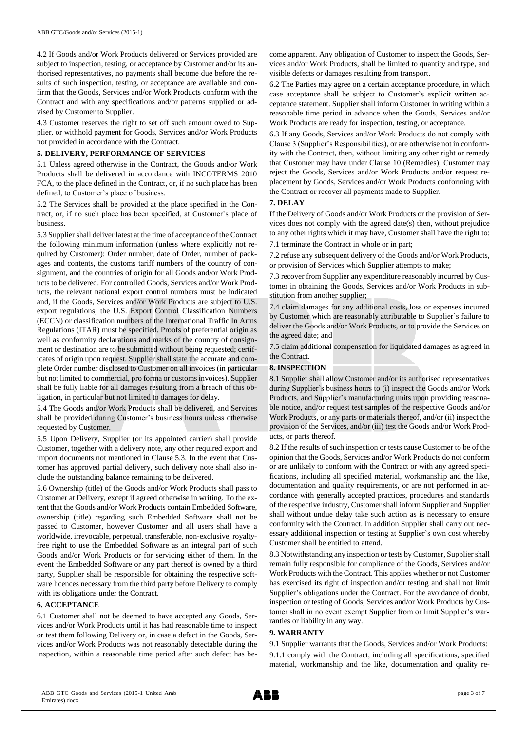4.2 If Goods and/or Work Products delivered or Services provided are subject to inspection, testing, or acceptance by Customer and/or its authorised representatives, no payments shall become due before the results of such inspection, testing, or acceptance are available and confirm that the Goods, Services and/or Work Products conform with the Contract and with any specifications and/or patterns supplied or advised by Customer to Supplier.

4.3 Customer reserves the right to set off such amount owed to Supplier, or withhold payment for Goods, Services and/or Work Products not provided in accordance with the Contract.

#### **5. DELIVERY, PERFORMANCE OF SERVICES**

5.1 Unless agreed otherwise in the Contract, the Goods and/or Work Products shall be delivered in accordance with INCOTERMS 2010 FCA, to the place defined in the Contract, or, if no such place has been defined, to Customer's place of business.

5.2 The Services shall be provided at the place specified in the Contract, or, if no such place has been specified, at Customer's place of business.

5.3 Supplier shall deliver latest at the time of acceptance of the Contract the following minimum information (unless where explicitly not required by Customer): Order number, date of Order, number of packages and contents, the customs tariff numbers of the country of consignment, and the countries of origin for all Goods and/or Work Products to be delivered. For controlled Goods, Services and/or Work Products, the relevant national export control numbers must be indicated and, if the Goods, Services and/or Work Products are subject to U.S. export regulations, the U.S. Export Control Classification Numbers (ECCN) or classification numbers of the International Traffic In Arms Regulations (ITAR) must be specified. Proofs of preferential origin as well as conformity declarations and marks of the country of consignment or destination are to be submitted without being requested; certificates of origin upon request. Supplier shall state the accurate and complete Order number disclosed to Customer on all invoices (in particular but not limited to commercial, pro forma or customs invoices). Supplier shall be fully liable for all damages resulting from a breach of this obligation, in particular but not limited to damages for delay.

5.4 The Goods and/or Work Products shall be delivered, and Services shall be provided during Customer's business hours unless otherwise requested by Customer.

5.5 Upon Delivery, Supplier (or its appointed carrier) shall provide Customer, together with a delivery note, any other required export and import documents not mentioned in Clause 5.3. In the event that Customer has approved partial delivery, such delivery note shall also include the outstanding balance remaining to be delivered.

5.6 Ownership (title) of the Goods and/or Work Products shall pass to Customer at Delivery, except if agreed otherwise in writing. To the extent that the Goods and/or Work Products contain Embedded Software, ownership (title) regarding such Embedded Software shall not be passed to Customer, however Customer and all users shall have a worldwide, irrevocable, perpetual, transferable, non-exclusive, royaltyfree right to use the Embedded Software as an integral part of such Goods and/or Work Products or for servicing either of them. In the event the Embedded Software or any part thereof is owned by a third party, Supplier shall be responsible for obtaining the respective software licences necessary from the third party before Delivery to comply with its obligations under the Contract.

#### **6. ACCEPTANCE**

6.1 Customer shall not be deemed to have accepted any Goods, Services and/or Work Products until it has had reasonable time to inspect or test them following Delivery or, in case a defect in the Goods, Services and/or Work Products was not reasonably detectable during the inspection, within a reasonable time period after such defect has become apparent. Any obligation of Customer to inspect the Goods, Services and/or Work Products, shall be limited to quantity and type, and visible defects or damages resulting from transport.

6.2 The Parties may agree on a certain acceptance procedure, in which case acceptance shall be subject to Customer's explicit written acceptance statement. Supplier shall inform Customer in writing within a reasonable time period in advance when the Goods, Services and/or Work Products are ready for inspection, testing, or acceptance.

6.3 If any Goods, Services and/or Work Products do not comply with Clause 3 (Supplier's Responsibilities), or are otherwise not in conformity with the Contract, then, without limiting any other right or remedy that Customer may have under Clause 10 (Remedies), Customer may reject the Goods, Services and/or Work Products and/or request replacement by Goods, Services and/or Work Products conforming with the Contract or recover all payments made to Supplier.

#### **7. DELAY**

If the Delivery of Goods and/or Work Products or the provision of Services does not comply with the agreed date(s) then, without prejudice to any other rights which it may have, Customer shall have the right to: 7.1 terminate the Contract in whole or in part;

7.2 refuse any subsequent delivery of the Goods and/or Work Products, or provision of Services which Supplier attempts to make;

7.3 recover from Supplier any expenditure reasonably incurred by Customer in obtaining the Goods, Services and/or Work Products in substitution from another supplier;

7.4 claim damages for any additional costs, loss or expenses incurred by Customer which are reasonably attributable to Supplier's failure to deliver the Goods and/or Work Products, or to provide the Services on the agreed date; and

7.5 claim additional compensation for liquidated damages as agreed in the Contract.

## **8. INSPECTION**

8.1 Supplier shall allow Customer and/or its authorised representatives during Supplier's business hours to (i) inspect the Goods and/or Work Products, and Supplier's manufacturing units upon providing reasonable notice, and/or request test samples of the respective Goods and/or Work Products, or any parts or materials thereof, and/or (ii) inspect the provision of the Services, and/or (iii) test the Goods and/or Work Products, or parts thereof.

8.2 If the results of such inspection or tests cause Customer to be of the opinion that the Goods, Services and/or Work Products do not conform or are unlikely to conform with the Contract or with any agreed specifications, including all specified material, workmanship and the like, documentation and quality requirements, or are not performed in accordance with generally accepted practices, procedures and standards of the respective industry, Customer shall inform Supplier and Supplier shall without undue delay take such action as is necessary to ensure conformity with the Contract. In addition Supplier shall carry out necessary additional inspection or testing at Supplier's own cost whereby Customer shall be entitled to attend.

8.3 Notwithstanding any inspection or tests by Customer, Supplier shall remain fully responsible for compliance of the Goods, Services and/or Work Products with the Contract. This applies whether or not Customer has exercised its right of inspection and/or testing and shall not limit Supplier's obligations under the Contract. For the avoidance of doubt, inspection or testing of Goods, Services and/or Work Products by Customer shall in no event exempt Supplier from or limit Supplier's warranties or liability in any way.

#### **9. WARRANTY**

9.1 Supplier warrants that the Goods, Services and/or Work Products: 9.1.1 comply with the Contract, including all specifications, specified material, workmanship and the like, documentation and quality re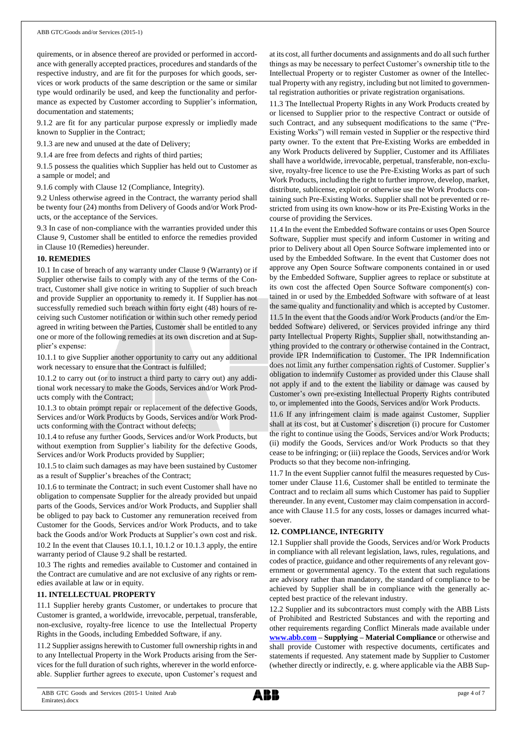quirements, or in absence thereof are provided or performed in accordance with generally accepted practices, procedures and standards of the respective industry, and are fit for the purposes for which goods, services or work products of the same description or the same or similar type would ordinarily be used, and keep the functionality and performance as expected by Customer according to Supplier's information, documentation and statements;

9.1.2 are fit for any particular purpose expressly or impliedly made known to Supplier in the Contract;

9.1.3 are new and unused at the date of Delivery;

9.1.4 are free from defects and rights of third parties;

9.1.5 possess the qualities which Supplier has held out to Customer as a sample or model; and

9.1.6 comply with Clause 12 (Compliance, Integrity).

9.2 Unless otherwise agreed in the Contract, the warranty period shall be twenty four (24) months from Delivery of Goods and/or Work Products, or the acceptance of the Services.

9.3 In case of non-compliance with the warranties provided under this Clause 9, Customer shall be entitled to enforce the remedies provided in Clause 10 (Remedies) hereunder.

#### **10. REMEDIES**

10.1 In case of breach of any warranty under Clause 9 (Warranty) or if Supplier otherwise fails to comply with any of the terms of the Contract, Customer shall give notice in writing to Supplier of such breach and provide Supplier an opportunity to remedy it. If Supplier has not successfully remedied such breach within forty eight (48) hours of receiving such Customer notification or within such other remedy period agreed in writing between the Parties, Customer shall be entitled to any one or more of the following remedies at its own discretion and at Supplier's expense:

10.1.1 to give Supplier another opportunity to carry out any additional work necessary to ensure that the Contract is fulfilled;

10.1.2 to carry out (or to instruct a third party to carry out) any additional work necessary to make the Goods, Services and/or Work Products comply with the Contract;

10.1.3 to obtain prompt repair or replacement of the defective Goods, Services and/or Work Products by Goods, Services and/or Work Products conforming with the Contract without defects;

10.1.4 to refuse any further Goods, Services and/or Work Products, but without exemption from Supplier's liability for the defective Goods, Services and/or Work Products provided by Supplier;

10.1.5 to claim such damages as may have been sustained by Customer as a result of Supplier's breaches of the Contract;

10.1.6 to terminate the Contract; in such event Customer shall have no obligation to compensate Supplier for the already provided but unpaid parts of the Goods, Services and/or Work Products, and Supplier shall be obliged to pay back to Customer any remuneration received from Customer for the Goods, Services and/or Work Products, and to take back the Goods and/or Work Products at Supplier's own cost and risk. 10.2 In the event that Clauses 10.1.1, 10.1.2 or 10.1.3 apply, the entire warranty period of Clause 9.2 shall be restarted.

10.3 The rights and remedies available to Customer and contained in the Contract are cumulative and are not exclusive of any rights or remedies available at law or in equity.

## **11. INTELLECTUAL PROPERTY**

11.1 Supplier hereby grants Customer, or undertakes to procure that Customer is granted, a worldwide, irrevocable, perpetual, transferable, non-exclusive, royalty-free licence to use the Intellectual Property Rights in the Goods, including Embedded Software, if any.

11.2 Supplier assigns herewith to Customer full ownership rights in and to any Intellectual Property in the Work Products arising from the Services for the full duration of such rights, wherever in the world enforceable. Supplier further agrees to execute, upon Customer's request and

at its cost, all further documents and assignments and do all such further things as may be necessary to perfect Customer's ownership title to the Intellectual Property or to register Customer as owner of the Intellectual Property with any registry, including but not limited to governmental registration authorities or private registration organisations.

11.3 The Intellectual Property Rights in any Work Products created by or licensed to Supplier prior to the respective Contract or outside of such Contract, and any subsequent modifications to the same ("Pre-Existing Works") will remain vested in Supplier or the respective third party owner. To the extent that Pre-Existing Works are embedded in any Work Products delivered by Supplier, Customer and its Affiliates shall have a worldwide, irrevocable, perpetual, transferable, non-exclusive, royalty-free licence to use the Pre-Existing Works as part of such Work Products, including the right to further improve, develop, market, distribute, sublicense, exploit or otherwise use the Work Products containing such Pre-Existing Works. Supplier shall not be prevented or restricted from using its own know-how or its Pre-Existing Works in the course of providing the Services.

11.4 In the event the Embedded Software contains or uses Open Source Software, Supplier must specify and inform Customer in writing and prior to Delivery about all Open Source Software implemented into or used by the Embedded Software. In the event that Customer does not approve any Open Source Software components contained in or used by the Embedded Software, Supplier agrees to replace or substitute at its own cost the affected Open Source Software component(s) contained in or used by the Embedded Software with software of at least the same quality and functionality and which is accepted by Customer.

11.5 In the event that the Goods and/or Work Products (and/or the Embedded Software) delivered, or Services provided infringe any third party Intellectual Property Rights, Supplier shall, notwithstanding anything provided to the contrary or otherwise contained in the Contract, provide IPR Indemnification to Customer. The IPR Indemnification does not limit any further compensation rights of Customer. Supplier's obligation to indemnify Customer as provided under this Clause shall not apply if and to the extent the liability or damage was caused by Customer's own pre-existing Intellectual Property Rights contributed to, or implemented into the Goods, Services and/or Work Products.

11.6 If any infringement claim is made against Customer, Supplier shall at its cost, but at Customer's discretion (i) procure for Customer the right to continue using the Goods, Services and/or Work Products; (ii) modify the Goods, Services and/or Work Products so that they cease to be infringing; or (iii) replace the Goods, Services and/or Work Products so that they become non-infringing.

11.7 In the event Supplier cannot fulfil the measures requested by Customer under Clause 11.6, Customer shall be entitled to terminate the Contract and to reclaim all sums which Customer has paid to Supplier thereunder. In any event, Customer may claim compensation in accordance with Clause 11.5 for any costs, losses or damages incurred whatsoever.

#### **12. COMPLIANCE, INTEGRITY**

12.1 Supplier shall provide the Goods, Services and/or Work Products in compliance with all relevant legislation, laws, rules, regulations, and codes of practice, guidance and other requirements of any relevant government or governmental agency. To the extent that such regulations are advisory rather than mandatory, the standard of compliance to be achieved by Supplier shall be in compliance with the generally accepted best practice of the relevant industry.

12.2 Supplier and its subcontractors must comply with the ABB Lists of Prohibited and Restricted Substances and with the reporting and other requirements regarding Conflict Minerals made available under **[www.abb.com](http://www.abb.com/) – Supplying – Material Compliance** or otherwise and shall provide Customer with respective documents, certificates and statements if requested. Any statement made by Supplier to Customer (whether directly or indirectly, e. g. where applicable via the ABB Sup-

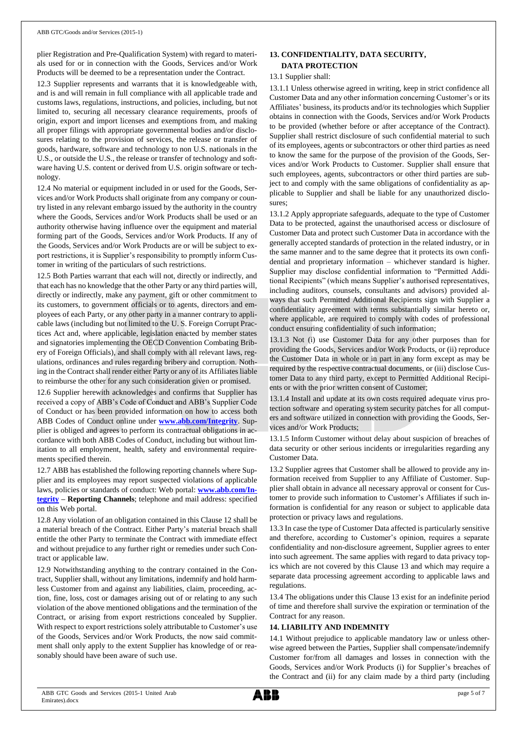plier Registration and Pre-Qualification System) with regard to materials used for or in connection with the Goods, Services and/or Work Products will be deemed to be a representation under the Contract.

12.3 Supplier represents and warrants that it is knowledgeable with, and is and will remain in full compliance with all applicable trade and customs laws, regulations, instructions, and policies, including, but not limited to, securing all necessary clearance requirements, proofs of origin, export and import licenses and exemptions from, and making all proper filings with appropriate governmental bodies and/or disclosures relating to the provision of services, the release or transfer of goods, hardware, software and technology to non U.S. nationals in the U.S., or outside the U.S., the release or transfer of technology and software having U.S. content or derived from U.S. origin software or technology.

12.4 No material or equipment included in or used for the Goods, Services and/or Work Products shall originate from any company or country listed in any relevant embargo issued by the authority in the country where the Goods, Services and/or Work Products shall be used or an authority otherwise having influence over the equipment and material forming part of the Goods, Services and/or Work Products. If any of the Goods, Services and/or Work Products are or will be subject to export restrictions, it is Supplier's responsibility to promptly inform Customer in writing of the particulars of such restrictions.

12.5 Both Parties warrant that each will not, directly or indirectly, and that each has no knowledge that the other Party or any third parties will, directly or indirectly, make any payment, gift or other commitment to its customers, to government officials or to agents, directors and employees of each Party, or any other party in a manner contrary to applicable laws (including but not limited to the U. S. Foreign Corrupt Practices Act and, where applicable, legislation enacted by member states and signatories implementing the OECD Convention Combating Bribery of Foreign Officials), and shall comply with all relevant laws, regulations, ordinances and rules regarding bribery and corruption. Nothing in the Contract shall render either Party or any of its Affiliates liable to reimburse the other for any such consideration given or promised.

12.6 Supplier herewith acknowledges and confirms that Supplier has received a copy of ABB's Code of Conduct and ABB's Supplier Code of Conduct or has been provided information on how to access both ABB Codes of Conduct online under **[www.abb.com/Integrity](http://www.abb.com/Integrity)**. Supplier is obliged and agrees to perform its contractual obligations in accordance with both ABB Codes of Conduct, including but without limitation to all employment, health, safety and environmental requirements specified therein.

12.7 ABB has established the following reporting channels where Supplier and its employees may report suspected violations of applicable laws, policies or standards of conduct: Web portal: **[www.abb.com/In](http://www.abb.com/Integrity)[tegrity](http://www.abb.com/Integrity) – Reporting Channels**; telephone and mail address: specified on this Web portal.

12.8 Any violation of an obligation contained in this Clause 12 shall be a material breach of the Contract. Either Party's material breach shall entitle the other Party to terminate the Contract with immediate effect and without prejudice to any further right or remedies under such Contract or applicable law.

12.9 Notwithstanding anything to the contrary contained in the Contract, Supplier shall, without any limitations, indemnify and hold harmless Customer from and against any liabilities, claim, proceeding, action, fine, loss, cost or damages arising out of or relating to any such violation of the above mentioned obligations and the termination of the Contract, or arising from export restrictions concealed by Supplier. With respect to export restrictions solely attributable to Customer's use of the Goods, Services and/or Work Products, the now said commitment shall only apply to the extent Supplier has knowledge of or reasonably should have been aware of such use.

## **13. CONFIDENTIALITY, DATA SECURITY, DATA PROTECTION**

#### 13.1 Supplier shall:

13.1.1 Unless otherwise agreed in writing, keep in strict confidence all Customer Data and any other information concerning Customer's or its Affiliates' business, its products and/or its technologies which Supplier obtains in connection with the Goods, Services and/or Work Products to be provided (whether before or after acceptance of the Contract). Supplier shall restrict disclosure of such confidential material to such of its employees, agents or subcontractors or other third parties as need to know the same for the purpose of the provision of the Goods, Services and/or Work Products to Customer. Supplier shall ensure that such employees, agents, subcontractors or other third parties are subject to and comply with the same obligations of confidentiality as applicable to Supplier and shall be liable for any unauthorized disclosures;

13.1.2 Apply appropriate safeguards, adequate to the type of Customer Data to be protected, against the unauthorised access or disclosure of Customer Data and protect such Customer Data in accordance with the generally accepted standards of protection in the related industry, or in the same manner and to the same degree that it protects its own confidential and proprietary information – whichever standard is higher. Supplier may disclose confidential information to "Permitted Additional Recipients" (which means Supplier's authorised representatives, including auditors, counsels, consultants and advisors) provided always that such Permitted Additional Recipients sign with Supplier a confidentiality agreement with terms substantially similar hereto or, where applicable, are required to comply with codes of professional conduct ensuring confidentiality of such information;

13.1.3 Not (i) use Customer Data for any other purposes than for providing the Goods, Services and/or Work Products, or (ii) reproduce the Customer Data in whole or in part in any form except as may be required by the respective contractual documents, or (iii) disclose Customer Data to any third party, except to Permitted Additional Recipients or with the prior written consent of Customer;

13.1.4 Install and update at its own costs required adequate virus protection software and operating system security patches for all computers and software utilized in connection with providing the Goods, Services and/or Work Products;

13.1.5 Inform Customer without delay about suspicion of breaches of data security or other serious incidents or irregularities regarding any Customer Data.

13.2 Supplier agrees that Customer shall be allowed to provide any information received from Supplier to any Affiliate of Customer. Supplier shall obtain in advance all necessary approval or consent for Customer to provide such information to Customer's Affiliates if such information is confidential for any reason or subject to applicable data protection or privacy laws and regulations.

13.3 In case the type of Customer Data affected is particularly sensitive and therefore, according to Customer's opinion, requires a separate confidentiality and non-disclosure agreement, Supplier agrees to enter into such agreement. The same applies with regard to data privacy topics which are not covered by this Clause 13 and which may require a separate data processing agreement according to applicable laws and regulations.

13.4 The obligations under this Clause 13 exist for an indefinite period of time and therefore shall survive the expiration or termination of the Contract for any reason.

#### **14. LIABILITY AND INDEMNITY**

14.1 Without prejudice to applicable mandatory law or unless otherwise agreed between the Parties, Supplier shall compensate/indemnify Customer for/from all damages and losses in connection with the Goods, Services and/or Work Products (i) for Supplier's breaches of the Contract and (ii) for any claim made by a third party (including

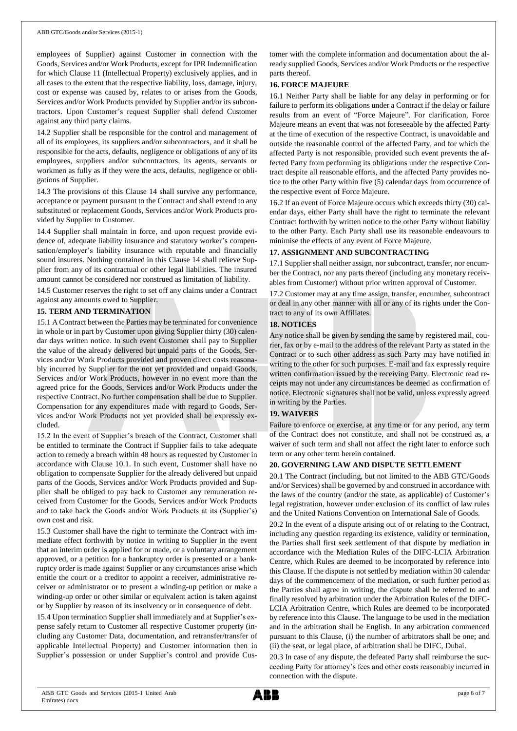employees of Supplier) against Customer in connection with the Goods, Services and/or Work Products, except for IPR Indemnification for which Clause 11 (Intellectual Property) exclusively applies, and in all cases to the extent that the respective liability, loss, damage, injury, cost or expense was caused by, relates to or arises from the Goods, Services and/or Work Products provided by Supplier and/or its subcontractors. Upon Customer's request Supplier shall defend Customer against any third party claims.

14.2 Supplier shall be responsible for the control and management of all of its employees, its suppliers and/or subcontractors, and it shall be responsible for the acts, defaults, negligence or obligations of any of its employees, suppliers and/or subcontractors, its agents, servants or workmen as fully as if they were the acts, defaults, negligence or obligations of Supplier.

14.3 The provisions of this Clause 14 shall survive any performance, acceptance or payment pursuant to the Contract and shall extend to any substituted or replacement Goods, Services and/or Work Products provided by Supplier to Customer.

14.4 Supplier shall maintain in force, and upon request provide evidence of, adequate liability insurance and statutory worker's compensation/employer's liability insurance with reputable and financially sound insurers. Nothing contained in this Clause 14 shall relieve Supplier from any of its contractual or other legal liabilities. The insured amount cannot be considered nor construed as limitation of liability.

14.5 Customer reserves the right to set off any claims under a Contract against any amounts owed to Supplier.

## **15. TERM AND TERMINATION**

15.1 A Contract between the Parties may be terminated for convenience in whole or in part by Customer upon giving Supplier thirty (30) calendar days written notice. In such event Customer shall pay to Supplier the value of the already delivered but unpaid parts of the Goods, Services and/or Work Products provided and proven direct costs reasonably incurred by Supplier for the not yet provided and unpaid Goods, Services and/or Work Products, however in no event more than the agreed price for the Goods, Services and/or Work Products under the respective Contract. No further compensation shall be due to Supplier. Compensation for any expenditures made with regard to Goods, Services and/or Work Products not yet provided shall be expressly excluded.

15.2 In the event of Supplier's breach of the Contract, Customer shall be entitled to terminate the Contract if Supplier fails to take adequate action to remedy a breach within 48 hours as requested by Customer in accordance with Clause 10.1. In such event, Customer shall have no obligation to compensate Supplier for the already delivered but unpaid parts of the Goods, Services and/or Work Products provided and Supplier shall be obliged to pay back to Customer any remuneration received from Customer for the Goods, Services and/or Work Products and to take back the Goods and/or Work Products at its (Supplier's) own cost and risk.

15.3 Customer shall have the right to terminate the Contract with immediate effect forthwith by notice in writing to Supplier in the event that an interim order is applied for or made, or a voluntary arrangement approved, or a petition for a bankruptcy order is presented or a bankruptcy order is made against Supplier or any circumstances arise which entitle the court or a creditor to appoint a receiver, administrative receiver or administrator or to present a winding-up petition or make a winding-up order or other similar or equivalent action is taken against or by Supplier by reason of its insolvency or in consequence of debt.

15.4 Upon termination Supplier shall immediately and at Supplier's expense safely return to Customer all respective Customer property (including any Customer Data, documentation, and retransfer/transfer of applicable Intellectual Property) and Customer information then in Supplier's possession or under Supplier's control and provide Customer with the complete information and documentation about the already supplied Goods, Services and/or Work Products or the respective parts thereof.

## **16. FORCE MAJEURE**

16.1 Neither Party shall be liable for any delay in performing or for failure to perform its obligations under a Contract if the delay or failure results from an event of "Force Majeure". For clarification, Force Majeure means an event that was not foreseeable by the affected Party at the time of execution of the respective Contract, is unavoidable and outside the reasonable control of the affected Party, and for which the affected Party is not responsible, provided such event prevents the affected Party from performing its obligations under the respective Contract despite all reasonable efforts, and the affected Party provides notice to the other Party within five (5) calendar days from occurrence of the respective event of Force Majeure.

16.2 If an event of Force Majeure occurs which exceeds thirty (30) calendar days, either Party shall have the right to terminate the relevant Contract forthwith by written notice to the other Party without liability to the other Party. Each Party shall use its reasonable endeavours to minimise the effects of any event of Force Majeure.

## **17. ASSIGNMENT AND SUBCONTRACTING**

17.1 Supplier shall neither assign, nor subcontract, transfer, nor encumber the Contract, nor any parts thereof (including any monetary receivables from Customer) without prior written approval of Customer.

17.2 Customer may at any time assign, transfer, encumber, subcontract or deal in any other manner with all or any of its rights under the Contract to any of its own Affiliates.

## **18. NOTICES**

Any notice shall be given by sending the same by registered mail, courier, fax or by e-mail to the address of the relevant Party as stated in the Contract or to such other address as such Party may have notified in writing to the other for such purposes. E-mail and fax expressly require written confirmation issued by the receiving Party. Electronic read receipts may not under any circumstances be deemed as confirmation of notice. Electronic signatures shall not be valid, unless expressly agreed in writing by the Parties.

## **19. WAIVERS**

Failure to enforce or exercise, at any time or for any period, any term of the Contract does not constitute, and shall not be construed as, a waiver of such term and shall not affect the right later to enforce such term or any other term herein contained.

#### **20. GOVERNING LAW AND DISPUTE SETTLEMENT**

20.1 The Contract (including, but not limited to the ABB GTC/Goods and/or Services) shall be governed by and construed in accordance with the laws of the country (and/or the state, as applicable) of Customer's legal registration, however under exclusion of its conflict of law rules and the United Nations Convention on International Sale of Goods.

20.2 In the event of a dispute arising out of or relating to the Contract, including any question regarding its existence, validity or termination, the Parties shall first seek settlement of that dispute by mediation in accordance with the Mediation Rules of the DIFC-LCIA Arbitration Centre, which Rules are deemed to be incorporated by reference into this Clause. If the dispute is not settled by mediation within 30 calendar days of the commencement of the mediation, or such further period as the Parties shall agree in writing, the dispute shall be referred to and finally resolved by arbitration under the Arbitration Rules of the DIFC-LCIA Arbitration Centre, which Rules are deemed to be incorporated by reference into this Clause. The language to be used in the mediation and in the arbitration shall be English. In any arbitration commenced pursuant to this Clause, (i) the number of arbitrators shall be one; and (ii) the seat, or legal place, of arbitration shall be DIFC, Dubai.

20.3 In case of any dispute, the defeated Party shall reimburse the succeeding Party for attorney's fees and other costs reasonably incurred in connection with the dispute.